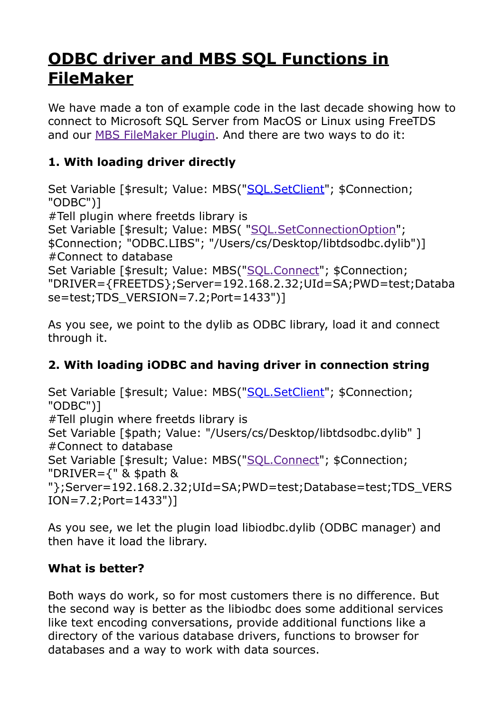## **[ODBC driver and MBS SQL Functions in](https://www.mbs-plugins.com/archive/2020-04-23/ODBC_driver_and_MBS_SQL_Functi/monkeybreadsoftware_blog_filemaker)  [FileMaker](https://www.mbs-plugins.com/archive/2020-04-23/ODBC_driver_and_MBS_SQL_Functi/monkeybreadsoftware_blog_filemaker)**

We have made a ton of example code in the last decade showing how to connect to Microsoft SQL Server from MacOS or Linux using FreeTDS and our [MBS FileMaker Plugin](https://www.monkeybreadsoftware.com/filemaker/). And there are two ways to do it:

## **1. With loading driver directly**

Set Variable [\$result; Value: MBS("[SQL.SetClient](https://www.mbsplugins.eu/SQLSetClient.shtml)"; \$Connection; "ODBC")] #Tell plugin where freetds library is Set Variable [\$result; Value: MBS( ["SQL.SetConnectionOption"](https://www.mbsplugins.eu/SQLSetConnectionOption.shtml); \$Connection; "ODBC.LIBS"; "/Users/cs/Desktop/libtdsodbc.dylib")] #Connect to database Set Variable [\$result; Value: MBS("[SQL.Connect](https://www.mbsplugins.eu/SQLConnect.shtml)"; \$Connection; "DRIVER={FREETDS};Server=192.168.2.32;UId=SA;PWD=test;Databa se=test;TDS\_VERSION=7.2;Port=1433")]

As you see, we point to the dylib as ODBC library, load it and connect through it.

## **2. With loading iODBC and having driver in connection string**

Set Variable [\$result; Value: MBS("[SQL.SetClient](https://www.mbsplugins.eu/SQLSetClient.shtml)"; \$Connection; "ODBC")] #Tell plugin where freetds library is Set Variable [\$path; Value: "/Users/cs/Desktop/libtdsodbc.dylib" ] #Connect to database Set Variable [\$result; Value: MBS("[SQL.Connect](https://www.mbsplugins.eu/SQLConnect.shtml)"; \$Connection; "DRIVER= $\{$ " & \$path & "};Server=192.168.2.32;UId=SA;PWD=test;Database=test;TDS\_VERS ION=7.2;Port=1433")]

As you see, we let the plugin load libiodbc.dylib (ODBC manager) and then have it load the library.

## **What is better?**

Both ways do work, so for most customers there is no difference. But the second way is better as the libiodbc does some additional services like text encoding conversations, provide additional functions like a directory of the various database drivers, functions to browser for databases and a way to work with data sources.